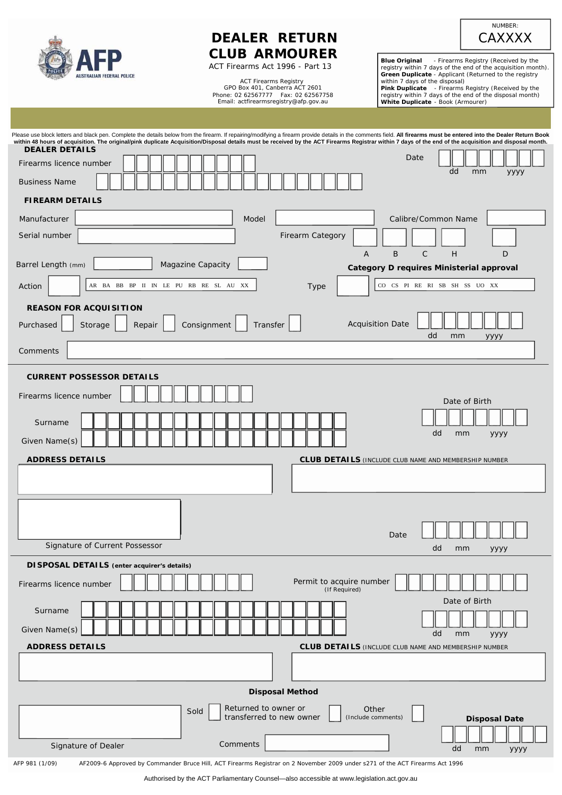| <b>AUSTRALIAN FEDERAL POLICE</b> |
|----------------------------------|

Australian Capital Territory

# **DEALER RETURN CLUB ARMOURER**

ACT Firearms Act 1996 - Part 13

ACT Firearms Registry GPO Box 401, Canberra ACT 2601 Phone: 02 62567777 Fax: 02 62567758 Email: [actfirearmsregistry@afp.gov.au](mailto:actfirearmsregistry@afp.gov.au) 

**Blue Original** - Firearms Registry (Received by the registry within 7 days of the end of the acquisition month).<br> **Green Duplicate** - Applicant (Returned to the registry within 7 days of the disposal)<br> **Pink Duplicate** -

NUMBER: **CAXXXX** 

| within 48 hours of acquisition. The original/pink duplicate Acquisition/Disposal details must be received by the ACT Firearms Registrar within 7 days of the end of the acquisition and disposal month. | Please use block letters and black pen. Complete the details below from the firearm. If repairing/modifying a firearm provide details in the comments field. All firearms must be entered into the Dealer Return Book |
|---------------------------------------------------------------------------------------------------------------------------------------------------------------------------------------------------------|-----------------------------------------------------------------------------------------------------------------------------------------------------------------------------------------------------------------------|
| <b>DEALER DETAILS</b><br>Firearms licence number                                                                                                                                                        | Date                                                                                                                                                                                                                  |
|                                                                                                                                                                                                         | dd<br>mm<br>уууу                                                                                                                                                                                                      |
| <b>Business Name</b>                                                                                                                                                                                    |                                                                                                                                                                                                                       |
| <b>FIREARM DETAILS</b>                                                                                                                                                                                  |                                                                                                                                                                                                                       |
| Manufacturer<br>Model                                                                                                                                                                                   | Calibre/Common Name                                                                                                                                                                                                   |
| Serial number                                                                                                                                                                                           | Firearm Category                                                                                                                                                                                                      |
|                                                                                                                                                                                                         | B<br>$\mathsf{C}$<br>H<br>D<br>Α                                                                                                                                                                                      |
| Magazine Capacity<br>Barrel Length (mm)                                                                                                                                                                 | Category D requires Ministerial approval                                                                                                                                                                              |
| AR BA BB BP II IN LE PU RB RE SL AU XX<br>Action                                                                                                                                                        | CO CS PI RE RI SB SH SS UO XX<br>Type                                                                                                                                                                                 |
| <b>REASON FOR ACQUISITION</b>                                                                                                                                                                           |                                                                                                                                                                                                                       |
| Consignment<br>Transfer<br>Purchased<br>Storage<br>Repair                                                                                                                                               | <b>Acquisition Date</b>                                                                                                                                                                                               |
|                                                                                                                                                                                                         | dd<br>mm<br>уууу                                                                                                                                                                                                      |
| Comments                                                                                                                                                                                                |                                                                                                                                                                                                                       |
| <b>CURRENT POSSESSOR DETAILS</b>                                                                                                                                                                        |                                                                                                                                                                                                                       |
| Firearms licence number                                                                                                                                                                                 | Date of Birth                                                                                                                                                                                                         |
|                                                                                                                                                                                                         |                                                                                                                                                                                                                       |
| Surname                                                                                                                                                                                                 | dd<br>mm<br>уууу                                                                                                                                                                                                      |
| Given Name(s)                                                                                                                                                                                           |                                                                                                                                                                                                                       |
|                                                                                                                                                                                                         |                                                                                                                                                                                                                       |
| <b>ADDRESS DETAILS</b>                                                                                                                                                                                  | <b>CLUB DETAILS</b> (INCLUDE CLUB NAME AND MEMBERSHIP NUMBER                                                                                                                                                          |
|                                                                                                                                                                                                         |                                                                                                                                                                                                                       |
|                                                                                                                                                                                                         |                                                                                                                                                                                                                       |
|                                                                                                                                                                                                         |                                                                                                                                                                                                                       |
|                                                                                                                                                                                                         | Date                                                                                                                                                                                                                  |
| Signature of Current Possessor                                                                                                                                                                          | dd<br>mm<br>уууу                                                                                                                                                                                                      |
| DISPOSAL DETAILS (enter acquirer's details)                                                                                                                                                             |                                                                                                                                                                                                                       |
| Firearms licence number                                                                                                                                                                                 | Permit to acquire number                                                                                                                                                                                              |
|                                                                                                                                                                                                         | (If Required)<br>Date of Birth                                                                                                                                                                                        |
| Surname                                                                                                                                                                                                 |                                                                                                                                                                                                                       |
| Given Name(s)                                                                                                                                                                                           | dd<br>mm<br>уууу                                                                                                                                                                                                      |
| <b>ADDRESS DETAILS</b>                                                                                                                                                                                  | <b>CLUB DETAILS (INCLUDE CLUB NAME AND MEMBERSHIP NUMBER</b>                                                                                                                                                          |
|                                                                                                                                                                                                         |                                                                                                                                                                                                                       |
|                                                                                                                                                                                                         |                                                                                                                                                                                                                       |
|                                                                                                                                                                                                         | <b>Disposal Method</b>                                                                                                                                                                                                |
| Returned to owner or<br>Sold<br>transferred to new owner                                                                                                                                                | Other<br>(Include comments)<br><b>Disposal Date</b>                                                                                                                                                                   |
|                                                                                                                                                                                                         |                                                                                                                                                                                                                       |
| Comments<br>Signature of Dealer<br>AF2009-6 Approved by Commander Bruce Hill, ACT Firearms Registrar on 2 November 2009 under s271 of the ACT Firearms Act 1996<br>AFP 981 (1/09)                       | dd<br>mm<br>уууу                                                                                                                                                                                                      |